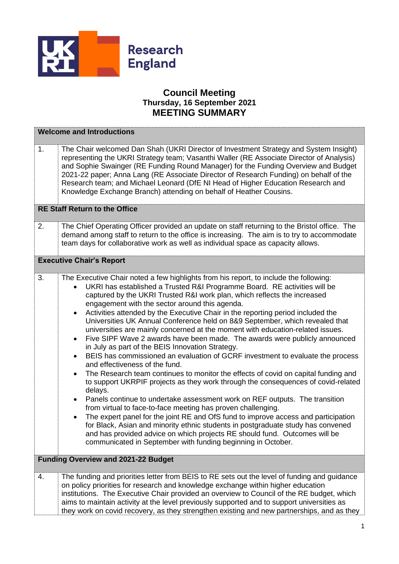

## **Council Meeting Thursday, 16 September 2021 MEETING SUMMARY**

| <b>Welcome and Introductions</b>           |                                                                                                                                                                                                                                                                                                                                                                                                                                                                                                                                                                                                                                                                                                                                                                                                                                                                                                                                                                                                                                                                                                                                                                                                                                                                                                                                                                                                                                                                                                                                           |  |
|--------------------------------------------|-------------------------------------------------------------------------------------------------------------------------------------------------------------------------------------------------------------------------------------------------------------------------------------------------------------------------------------------------------------------------------------------------------------------------------------------------------------------------------------------------------------------------------------------------------------------------------------------------------------------------------------------------------------------------------------------------------------------------------------------------------------------------------------------------------------------------------------------------------------------------------------------------------------------------------------------------------------------------------------------------------------------------------------------------------------------------------------------------------------------------------------------------------------------------------------------------------------------------------------------------------------------------------------------------------------------------------------------------------------------------------------------------------------------------------------------------------------------------------------------------------------------------------------------|--|
| 1.                                         | The Chair welcomed Dan Shah (UKRI Director of Investment Strategy and System Insight)<br>representing the UKRI Strategy team; Vasanthi Waller (RE Associate Director of Analysis)<br>and Sophie Swainger (RE Funding Round Manager) for the Funding Overview and Budget<br>2021-22 paper; Anna Lang (RE Associate Director of Research Funding) on behalf of the<br>Research team; and Michael Leonard (DfE NI Head of Higher Education Research and<br>Knowledge Exchange Branch) attending on behalf of Heather Cousins.                                                                                                                                                                                                                                                                                                                                                                                                                                                                                                                                                                                                                                                                                                                                                                                                                                                                                                                                                                                                                |  |
| <b>RE Staff Return to the Office</b>       |                                                                                                                                                                                                                                                                                                                                                                                                                                                                                                                                                                                                                                                                                                                                                                                                                                                                                                                                                                                                                                                                                                                                                                                                                                                                                                                                                                                                                                                                                                                                           |  |
| 2.                                         | The Chief Operating Officer provided an update on staff returning to the Bristol office. The<br>demand among staff to return to the office is increasing. The aim is to try to accommodate<br>team days for collaborative work as well as individual space as capacity allows.                                                                                                                                                                                                                                                                                                                                                                                                                                                                                                                                                                                                                                                                                                                                                                                                                                                                                                                                                                                                                                                                                                                                                                                                                                                            |  |
| <b>Executive Chair's Report</b>            |                                                                                                                                                                                                                                                                                                                                                                                                                                                                                                                                                                                                                                                                                                                                                                                                                                                                                                                                                                                                                                                                                                                                                                                                                                                                                                                                                                                                                                                                                                                                           |  |
| 3.                                         | The Executive Chair noted a few highlights from his report, to include the following:<br>UKRI has established a Trusted R&I Programme Board. RE activities will be<br>$\bullet$<br>captured by the UKRI Trusted R&I work plan, which reflects the increased<br>engagement with the sector around this agenda.<br>Activities attended by the Executive Chair in the reporting period included the<br>$\bullet$<br>Universities UK Annual Conference held on 8&9 September, which revealed that<br>universities are mainly concerned at the moment with education-related issues.<br>Five SIPF Wave 2 awards have been made. The awards were publicly announced<br>$\bullet$<br>in July as part of the BEIS Innovation Strategy.<br>BEIS has commissioned an evaluation of GCRF investment to evaluate the process<br>$\bullet$<br>and effectiveness of the fund.<br>The Research team continues to monitor the effects of covid on capital funding and<br>to support UKRPIF projects as they work through the consequences of covid-related<br>delays.<br>Panels continue to undertake assessment work on REF outputs. The transition<br>$\bullet$<br>from virtual to face-to-face meeting has proven challenging.<br>The expert panel for the joint RE and OfS fund to improve access and participation<br>for Black, Asian and minority ethnic students in postgraduate study has convened<br>and has provided advice on which projects RE should fund. Outcomes will be<br>communicated in September with funding beginning in October. |  |
| <b>Funding Overview and 2021-22 Budget</b> |                                                                                                                                                                                                                                                                                                                                                                                                                                                                                                                                                                                                                                                                                                                                                                                                                                                                                                                                                                                                                                                                                                                                                                                                                                                                                                                                                                                                                                                                                                                                           |  |
| 4.                                         | The funding and priorities letter from BEIS to RE sets out the level of funding and guidance<br>on policy priorities for research and knowledge exchange within higher education<br>institutions. The Executive Chair provided an overview to Council of the RE budget, which<br>aims to maintain activity at the level previously supported and to support universities as<br>they work on covid recovery, as they strengthen existing and new partnerships, and as they                                                                                                                                                                                                                                                                                                                                                                                                                                                                                                                                                                                                                                                                                                                                                                                                                                                                                                                                                                                                                                                                 |  |